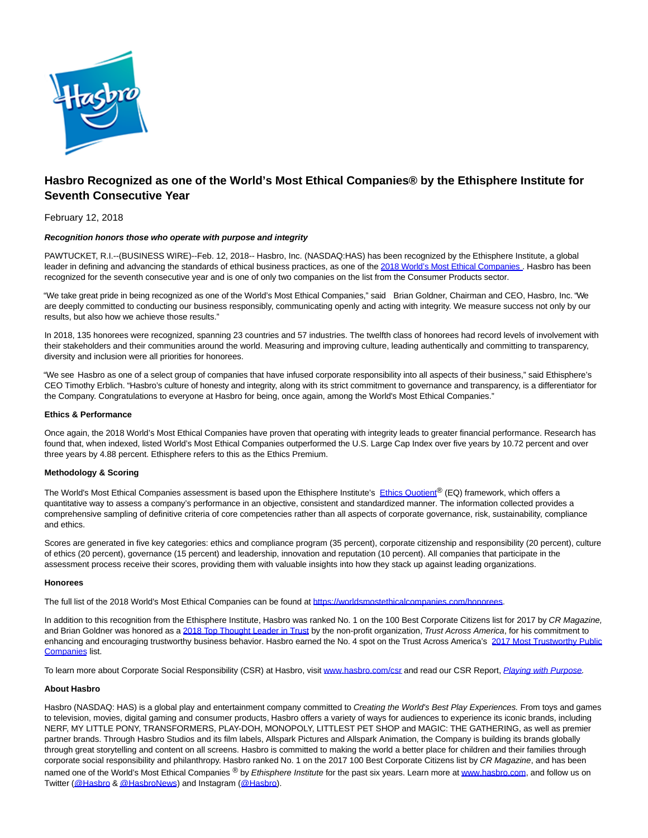

# **Hasbro Recognized as one of the World's Most Ethical Companies® by the Ethisphere Institute for Seventh Consecutive Year**

## February 12, 2018

## **Recognition honors those who operate with purpose and integrity**

PAWTUCKET, R.I.--(BUSINESS WIRE)--Feb. 12, 2018-- Hasbro, Inc. (NASDAQ:HAS) has been recognized by the Ethisphere Institute, a global leader in defining and advancing the standards of ethical business practices, as one of the [2018 World's Most Ethical Companies](http://cts.businesswire.com/ct/CT?id=smartlink&url=http%3A%2F%2Fworldsmostethicalcompanies.com%2Fhonorees&esheet=51756844&newsitemid=20180212005474&lan=en-US&anchor=2018+World%27s+Most+Ethical+Companies&index=1&md5=5567c1888a9fcfc61b2b13e3dec84942) . Hasbro has been recognized for the seventh consecutive year and is one of only two companies on the list from the Consumer Products sector.

"We take great pride in being recognized as one of the World's Most Ethical Companies," said Brian Goldner, Chairman and CEO, Hasbro, Inc. "We are deeply committed to conducting our business responsibly, communicating openly and acting with integrity. We measure success not only by our results, but also how we achieve those results."

In 2018, 135 honorees were recognized, spanning 23 countries and 57 industries. The twelfth class of honorees had record levels of involvement with their stakeholders and their communities around the world. Measuring and improving culture, leading authentically and committing to transparency, diversity and inclusion were all priorities for honorees.

"We see Hasbro as one of a select group of companies that have infused corporate responsibility into all aspects of their business," said Ethisphere's CEO Timothy Erblich. "Hasbro's culture of honesty and integrity, along with its strict commitment to governance and transparency, is a differentiator for the Company. Congratulations to everyone at Hasbro for being, once again, among the World's Most Ethical Companies."

## **Ethics & Performance**

Once again, the 2018 World's Most Ethical Companies have proven that operating with integrity leads to greater financial performance. Research has found that, when indexed, listed World's Most Ethical Companies outperformed the U.S. Large Cap Index over five years by 10.72 percent and over three years by 4.88 percent. Ethisphere refers to this as the Ethics Premium.

#### **Methodology & Scoring**

The World's Most Ethical Companies assessment is based upon the Ethisphere Institute's [Ethics Quotient](http://cts.businesswire.com/ct/CT?id=smartlink&url=http%3A%2F%2Fworldsmostethicalcompanies.com%2F&esheet=51756844&newsitemid=20180212005474&lan=en-US&anchor=Ethics+Quotient&index=2&md5=6497ccb29b22e55fdce47fdf6b8a94bb)® (EQ) framework, which offers a quantitative way to assess a company's performance in an objective, consistent and standardized manner. The information collected provides a comprehensive sampling of definitive criteria of core competencies rather than all aspects of corporate governance, risk, sustainability, compliance and ethics.

Scores are generated in five key categories: ethics and compliance program (35 percent), corporate citizenship and responsibility (20 percent), culture of ethics (20 percent), governance (15 percent) and leadership, innovation and reputation (10 percent). All companies that participate in the assessment process receive their scores, providing them with valuable insights into how they stack up against leading organizations.

#### **Honorees**

The full list of the 2018 World's Most Ethical Companies can be found a[t https://worldsmostethicalcompanies.com/honorees.](http://cts.businesswire.com/ct/CT?id=smartlink&url=https%3A%2F%2Fworldsmostethicalcompanies.com%2Fhonorees&esheet=51756844&newsitemid=20180212005474&lan=en-US&anchor=https%3A%2F%2Fworldsmostethicalcompanies.com%2Fhonorees&index=3&md5=d24ca60f09d3adaaac8b9920f96f65de)

In addition to this recognition from the Ethisphere Institute, Hasbro was ranked No. 1 on the 100 Best Corporate Citizens list for 2017 by CR Magazine, and Brian Goldner was honored as [a 2018 Top Thought Leader in Trust b](http://cts.businesswire.com/ct/CT?id=smartlink&url=http%3A%2F%2Ftrustacrossamerica.com%2Fdocuments%2Fmagazine%2FTrust-Magazine-2018-winter.pdf&esheet=51756844&newsitemid=20180212005474&lan=en-US&anchor=2018+Top+Thought+Leader+in+Trust&index=4&md5=111208ca3692d91c2853310bd4b4662d)y the non-profit organization, Trust Across America, for his commitment to enhancing and encouraging trustworthy business behavior. Hasbro earned the No. 4 spot on the Trust Across America's [2017 Most Trustworthy Public](http://cts.businesswire.com/ct/CT?id=smartlink&url=http%3A%2F%2Fwww.trustacrossamerica.com%2Fblog%2F%3Fp%3D3498&esheet=51756844&newsitemid=20180212005474&lan=en-US&anchor=2017+Most+Trustworthy+Public+Companies&index=5&md5=41e91ac07defa41bffbff5b707db96d7) Companies list.

To learn more about Corporate Social Responsibility (CSR) at Hasbro, visit [www.hasbro.com/csr a](http://cts.businesswire.com/ct/CT?id=smartlink&url=http%3A%2F%2Fwww.hasbro.com%2Fcsr&esheet=51756844&newsitemid=20180212005474&lan=en-US&anchor=www.hasbro.com%2Fcsr&index=6&md5=dc73e7462a95e5d619d9ad83ef929818)nd read our CSR Report, [Playing with Purpose.](http://cts.businesswire.com/ct/CT?id=smartlink&url=https%3A%2F%2Fcsr.hasbro.com%2Fdownloads%2FCSR_2016_Report.pdf&esheet=51756844&newsitemid=20180212005474&lan=en-US&anchor=Playing+with+Purpose&index=7&md5=4096a7e30571e0f32c78247324032110)

## **About Hasbro**

Hasbro (NASDAQ: HAS) is a global play and entertainment company committed to Creating the World's Best Play Experiences. From toys and games to television, movies, digital gaming and consumer products, Hasbro offers a variety of ways for audiences to experience its iconic brands, including NERF, MY LITTLE PONY, TRANSFORMERS, PLAY-DOH, MONOPOLY, LITTLEST PET SHOP and MAGIC: THE GATHERING, as well as premier partner brands. Through Hasbro Studios and its film labels, Allspark Pictures and Allspark Animation, the Company is building its brands globally through great storytelling and content on all screens. Hasbro is committed to making the world a better place for children and their families through corporate social responsibility and philanthropy. Hasbro ranked No. 1 on the 2017 100 Best Corporate Citizens list by CR Magazine, and has been named one of the World's Most Ethical Companies ® by Ethisphere Institute for the past six years. Learn more a[t www.hasbro.com,](http://cts.businesswire.com/ct/CT?id=smartlink&url=http%3A%2F%2Fwww.hasbro.com%2F&esheet=51756844&newsitemid=20180212005474&lan=en-US&anchor=www.hasbro.com&index=8&md5=acbf15322a52e097a5389117a84eedc3) and follow us on Twitter [\(@Hasbro &](http://cts.businesswire.com/ct/CT?id=smartlink&url=https%3A%2F%2Ftwitter.com%2FHasbro&esheet=51756844&newsitemid=20180212005474&lan=en-US&anchor=%40Hasbro&index=9&md5=6ca1e399a45b60a203e7bb217d3b1255) [@HasbroNews\)](http://cts.businesswire.com/ct/CT?id=smartlink&url=https%3A%2F%2Ftwitter.com%2FHasbroNews&esheet=51756844&newsitemid=20180212005474&lan=en-US&anchor=%40HasbroNews&index=10&md5=bd8f505ee3122615ac68a7ef2693f360) and Instagram [\(@Hasbro\).](http://cts.businesswire.com/ct/CT?id=smartlink&url=https%3A%2F%2Finstagram.com%2Fhasbro%2F%3Fhl%3Den&esheet=51756844&newsitemid=20180212005474&lan=en-US&anchor=%40Hasbro&index=11&md5=6c3c9be3ff4b96f0922149e033466e6a)